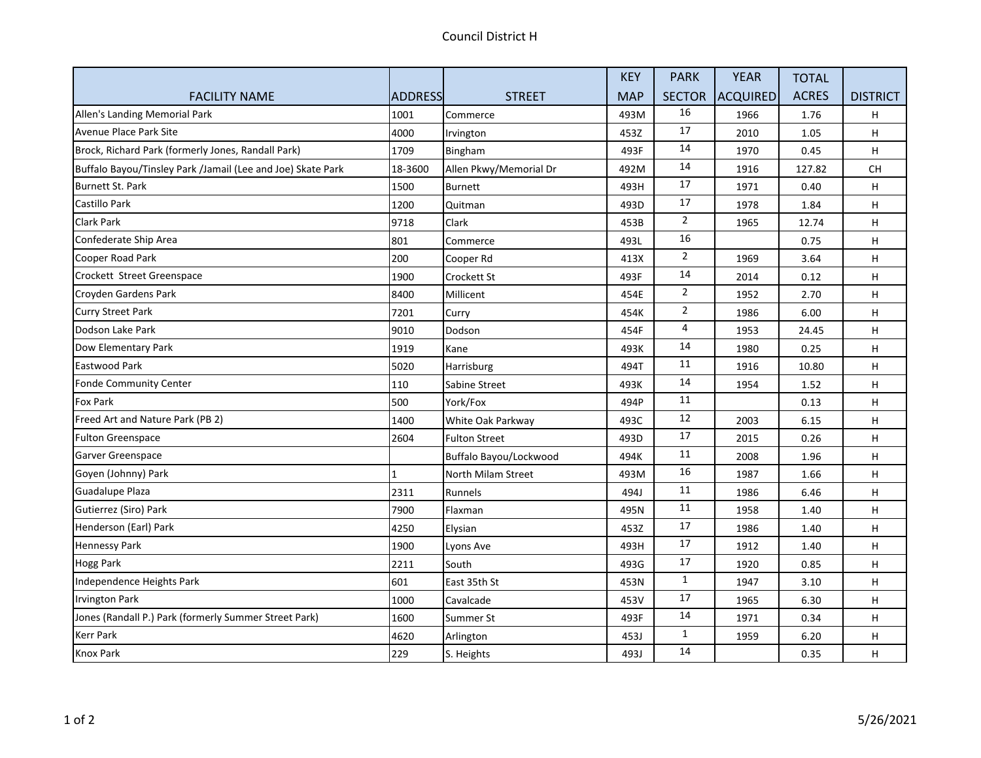|                                                             |                |                        | <b>KEY</b> | <b>PARK</b>    | <b>YEAR</b>     | <b>TOTAL</b> |                 |
|-------------------------------------------------------------|----------------|------------------------|------------|----------------|-----------------|--------------|-----------------|
| <b>FACILITY NAME</b>                                        | <b>ADDRESS</b> | <b>STREET</b>          | <b>MAP</b> | <b>SECTOR</b>  | <b>ACQUIRED</b> | <b>ACRES</b> | <b>DISTRICT</b> |
| Allen's Landing Memorial Park                               | 1001           | Commerce               | 493M       | 16             | 1966            | 1.76         | H.              |
| Avenue Place Park Site                                      | 4000           | Irvington              | 453Z       | 17             | 2010            | 1.05         | H               |
| Brock, Richard Park (formerly Jones, Randall Park)          | 1709           | Bingham                | 493F       | 14             | 1970            | 0.45         | H               |
| Buffalo Bayou/Tinsley Park /Jamail (Lee and Joe) Skate Park | 18-3600        | Allen Pkwy/Memorial Dr | 492M       | 14             | 1916            | 127.82       | CH              |
| Burnett St. Park                                            | 1500           | Burnett                | 493H       | $17\,$         | 1971            | 0.40         | H               |
| Castillo Park                                               | 1200           | Quitman                | 493D       | 17             | 1978            | 1.84         | H               |
| Clark Park                                                  | 9718           | Clark                  | 453B       | $\overline{2}$ | 1965            | 12.74        | H               |
| Confederate Ship Area                                       | 801            | Commerce               | 493L       | 16             |                 | 0.75         | H               |
| Cooper Road Park                                            | 200            | Cooper Rd              | 413X       | $\overline{2}$ | 1969            | 3.64         | H               |
| Crockett Street Greenspace                                  | 1900           | Crockett St            | 493F       | 14             | 2014            | 0.12         | H.              |
| Croyden Gardens Park                                        | 8400           | Millicent              | 454E       | $\overline{2}$ | 1952            | 2.70         | H               |
| <b>Curry Street Park</b>                                    | 7201           | Curry                  | 454K       | $\overline{2}$ | 1986            | 6.00         | H.              |
| Dodson Lake Park                                            | 9010           | Dodson                 | 454F       | $\overline{4}$ | 1953            | 24.45        | H               |
| Dow Elementary Park                                         | 1919           | Kane                   | 493K       | 14             | 1980            | 0.25         | H.              |
| Eastwood Park                                               | 5020           | Harrisburg             | 494T       | 11             | 1916            | 10.80        | H               |
| <b>Fonde Community Center</b>                               | 110            | Sabine Street          | 493K       | 14             | 1954            | 1.52         | H               |
| Fox Park                                                    | 500            | York/Fox               | 494P       | 11             |                 | 0.13         | H               |
| Freed Art and Nature Park (PB 2)                            | 1400           | White Oak Parkway      | 493C       | 12             | 2003            | 6.15         | H               |
| <b>Fulton Greenspace</b>                                    | 2604           | <b>Fulton Street</b>   | 493D       | 17             | 2015            | 0.26         | H               |
| Garver Greenspace                                           |                | Buffalo Bayou/Lockwood | 494K       | 11             | 2008            | 1.96         | H               |
| Goyen (Johnny) Park                                         |                | North Milam Street     | 493M       | 16             | 1987            | 1.66         | H               |
| <b>Guadalupe Plaza</b>                                      | 2311           | Runnels                | 494J       | 11             | 1986            | 6.46         | H               |
| Gutierrez (Siro) Park                                       | 7900           | Flaxman                | 495N       | 11             | 1958            | 1.40         | H               |
| Henderson (Earl) Park                                       | 4250           | Elysian                | 453Z       | 17             | 1986            | 1.40         | H               |
| Hennessy Park                                               | 1900           | Lyons Ave              | 493H       | 17             | 1912            | 1.40         | H               |
| <b>Hogg Park</b>                                            | 2211           | South                  | 493G       | 17             | 1920            | 0.85         | H.              |
| Independence Heights Park                                   | 601            | East 35th St           | 453N       | $\mathbf{1}$   | 1947            | 3.10         | H               |
| <b>Irvington Park</b>                                       | 1000           | Cavalcade              | 453V       | 17             | 1965            | 6.30         | H               |
| Jones (Randall P.) Park (formerly Summer Street Park)       | 1600           | Summer St              | 493F       | 14             | 1971            | 0.34         | H               |
| <b>Kerr Park</b>                                            | 4620           | Arlington              | 453J       | $\mathbf{1}$   | 1959            | 6.20         | H               |
| <b>Knox Park</b>                                            | 229            | S. Heights             | 493J       | 14             |                 | 0.35         | H               |